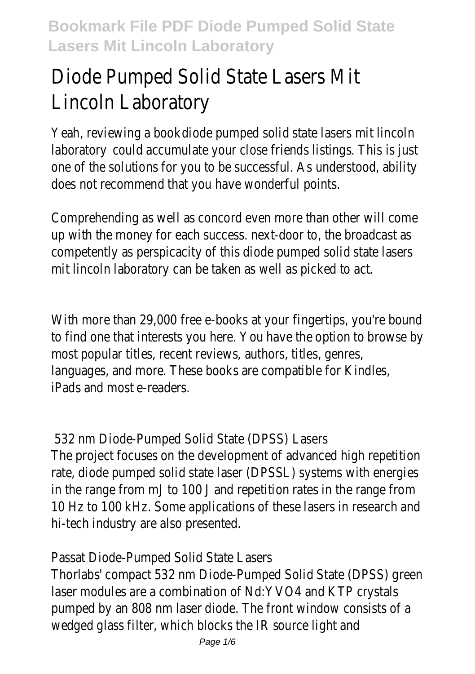# Diode Pumped Solid State Lasers Mit Lincoln Laboratory

Yeah, reviewing a boot diode pumped solid state lasers mit lincoln laboratory could accumulate your close friends listings. This is just one of the solutions for you to be successful. As understood, ability does not recommend that you have wonderful points.

Comprehending as well as concord even more than other will come up with the money for each success. next-door to, the broadcast as competently as perspicacity of this diode pumped solid state lasers mit lincoln laboratory can be taken as well as picked to act.

With more than 29,000 free e-books at your fingertips, you're bound to find one that interests you here. You have the option to browse b most popular titles, recent reviews, authors, titles, genres, languages, and more. These books are compatible for Kindles, iPads and most e-readers.

532 nm Diode-Pumped Solid State (DPSS) Lasers The project focuses on the development of advanced high repetition rate, diode pumped solid state laser (DPSSL) systems with energies in the range from mJ to 100 J and repetition rates in the range from 10 Hz to 100 kHz. Some applications of these lasers in research and hi-tech industry are also presented.

Passat Diode-Pumped Solid State Lasers

Thorlabs' compact 532 nm Diode-Pumped Solid State (DPSS) green laser modules are a combination of Nd:YVO4 and KTP crystals pumped by an 808 nm laser diode. The front window consists of a wedged glass filter, which blocks the IR source light and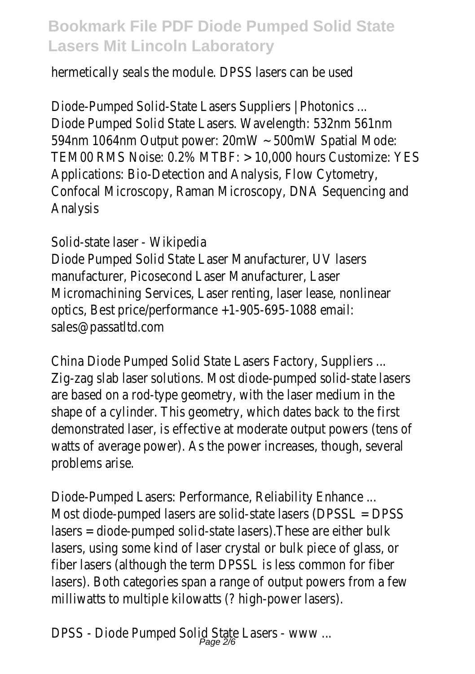hermetically seals the module. DPSS lasers can be used

Diode-Pumped Solid-State Lasers Suppliers | Photonics ... Diode Pumped Solid State Lasers. Wavelength: 532nm 561nm 594nm 1064nm Output power: 20mW ~ 500mW Spatial Mode: TEM00 RMS Noise: 0.2% MTBF: > 10,000 hours Customize: YES Applications: Bio-Detection and Analysis, Flow Cytometry, Confocal Microscopy, Raman Microscopy, DNA Sequencing and Analysis

Solid-state laser - Wikipedia Diode Pumped Solid State Laser Manufacturer, UV lasers manufacturer, Picosecond Laser Manufacturer, Laser Micromachining Services, Laser renting, laser lease, nonlinear optics, Best price/performance +1-905-695-1088 email: sales@passatltd.com

China Diode Pumped Solid State Lasers Factory, Suppliers ... Zig-zag slab laser solutions. Most diode-pumped solid-state lasers are based on a rod-type geometry, with the laser medium in the shape of a cylinder. This geometry, which dates back to the first demonstrated laser, is effective at moderate output powers (tens of watts of average power). As the power increases, though, several problems arise.

Diode-Pumped Lasers: Performance, Reliability Enhance ... Most diode-pumped lasers are solid-state lasers (DPSSL = DPSS lasers = diode-pumped solid-state lasers).These are either bulk lasers, using some kind of laser crystal or bulk piece of glass, or fiber lasers (although the term DPSSL is less common for fiber lasers). Both categories span a range of output powers from a few milliwatts to multiple kilowatts (? high-power lasers).

DPSS - Diode Pumped Solid State Lasers - www ... Page 2/6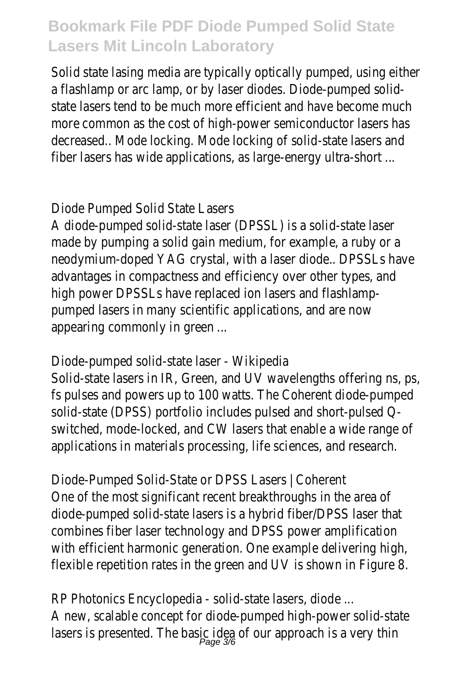Solid state lasing media are typically optically pumped, using either a flashlamp or arc lamp, or by laser diodes. Diode-pumped solidstate lasers tend to be much more efficient and have become much more common as the cost of high-power semiconductor lasers has decreased.. Mode locking. Mode locking of solid-state lasers and fiber lasers has wide applications, as large-energy ultra-short ...

#### Diode Pumped Solid State Lasers

A diode-pumped solid-state laser (DPSSL) is a solid-state laser made by pumping a solid gain medium, for example, a ruby or a neodymium-doped YAG crystal, with a laser diode.. DPSSLs have advantages in compactness and efficiency over other types, and high power DPSSLs have replaced ion lasers and flashlamppumped lasers in many scientific applications, and are now appearing commonly in green ...

### Diode-pumped solid-state laser - Wikipedia

Solid-state lasers in IR, Green, and UV wavelengths offering ns, ps, fs pulses and powers up to 100 watts. The Coherent diode-pumped solid-state (DPSS) portfolio includes pulsed and short-pulsed Qswitched, mode-locked, and CW lasers that enable a wide range of applications in materials processing, life sciences, and research.

Diode-Pumped Solid-State or DPSS Lasers | Coherent One of the most significant recent breakthroughs in the area of diode-pumped solid-state lasers is a hybrid fiber/DPSS laser that combines fiber laser technology and DPSS power amplification with efficient harmonic generation. One example delivering high, flexible repetition rates in the green and UV is shown in Figure 8.

RP Photonics Encyclopedia - solid-state lasers, diode ... A new, scalable concept for diode-pumped high-power solid-state lasers is presented. The basic idea of our approach is a very thin<br> $P_{\text{age 3/6}}$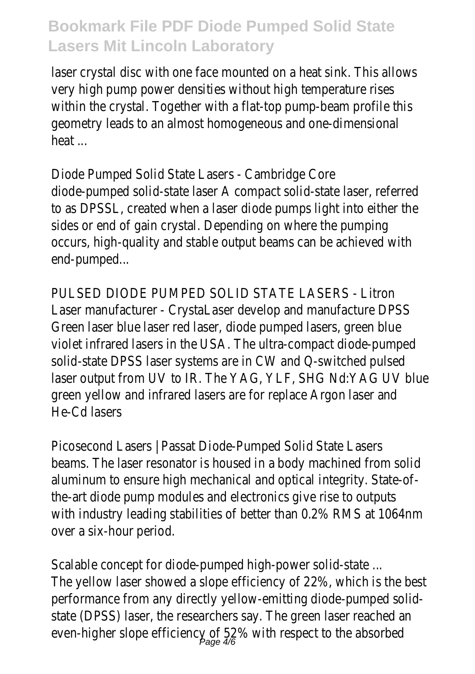laser crystal disc with one face mounted on a heat sink. This allows very high pump power densities without high temperature rises within the crystal. Together with a flat-top pump-beam profile this geometry leads to an almost homogeneous and one-dimensional heat ...

Diode Pumped Solid State Lasers - Cambridge Core diode-pumped solid-state laser A compact solid-state laser, referred to as DPSSL, created when a laser diode pumps light into either the sides or end of gain crystal. Depending on where the pumping occurs, high-quality and stable output beams can be achieved with end-pumped...

PULSED DIODE PUMPED SOLID STATE LASERS - Litron Laser manufacturer - CrystaLaser develop and manufacture DPSS Green laser blue laser red laser, diode pumped lasers, green blue violet infrared lasers in the USA. The ultra-compact diode-pumped solid-state DPSS laser systems are in CW and Q-switched pulsed laser output from UV to IR. The YAG, YLF, SHG Nd:YAG UV blue green yellow and infrared lasers are for replace Argon laser and He-Cd lasers

Picosecond Lasers | Passat Diode-Pumped Solid State Lasers beams. The laser resonator is housed in a body machined from solid aluminum to ensure high mechanical and optical integrity. State-ofthe-art diode pump modules and electronics give rise to outputs with industry leading stabilities of better than 0.2% RMS at 1064nm over a six-hour period.

Scalable concept for diode-pumped high-power solid-state ... The yellow laser showed a slope efficiency of 22%, which is the best performance from any directly yellow-emitting diode-pumped solidstate (DPSS) laser, the researchers say. The green laser reached an even-higher slope efficiency of 52% with respect to the absorbed<br>Page 4/6